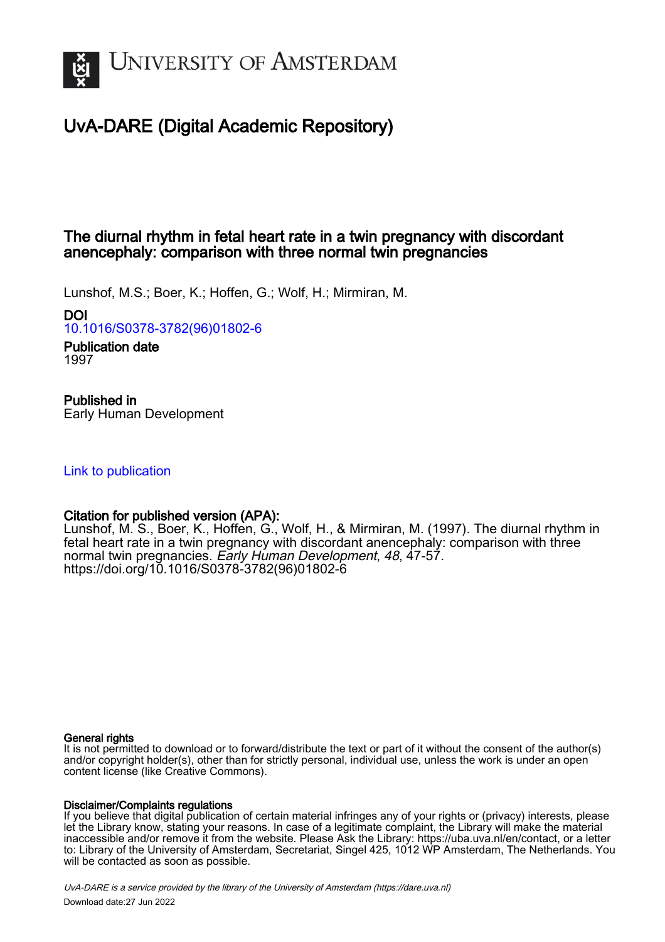

# UvA-DARE (Digital Academic Repository)

## The diurnal rhythm in fetal heart rate in a twin pregnancy with discordant anencephaly: comparison with three normal twin pregnancies

Lunshof, M.S.; Boer, K.; Hoffen, G.; Wolf, H.; Mirmiran, M.

### DOI

[10.1016/S0378-3782\(96\)01802-6](https://doi.org/10.1016/S0378-3782(96)01802-6)

Publication date 1997

## Published in

Early Human Development

### [Link to publication](https://dare.uva.nl/personal/pure/en/publications/the-diurnal-rhythm-in-fetal-heart-rate-in-a-twin-pregnancy-with-discordant-anencephaly-comparison-with-three-normal-twin-pregnancies(d3808a87-daf1-4316-8d0e-b29e00215151).html)

### Citation for published version (APA):

Lunshof, M. S., Boer, K., Hoffen, G., Wolf, H., & Mirmiran, M. (1997). The diurnal rhythm in fetal heart rate in a twin pregnancy with discordant anencephaly: comparison with three normal twin pregnancies. Early Human Development, 48, 47-57. [https://doi.org/10.1016/S0378-3782\(96\)01802-6](https://doi.org/10.1016/S0378-3782(96)01802-6)

### General rights

It is not permitted to download or to forward/distribute the text or part of it without the consent of the author(s) and/or copyright holder(s), other than for strictly personal, individual use, unless the work is under an open content license (like Creative Commons).

### Disclaimer/Complaints regulations

If you believe that digital publication of certain material infringes any of your rights or (privacy) interests, please let the Library know, stating your reasons. In case of a legitimate complaint, the Library will make the material inaccessible and/or remove it from the website. Please Ask the Library: https://uba.uva.nl/en/contact, or a letter to: Library of the University of Amsterdam, Secretariat, Singel 425, 1012 WP Amsterdam, The Netherlands. You will be contacted as soon as possible.

UvA-DARE is a service provided by the library of the University of Amsterdam (http*s*://dare.uva.nl) Download date:27 Jun 2022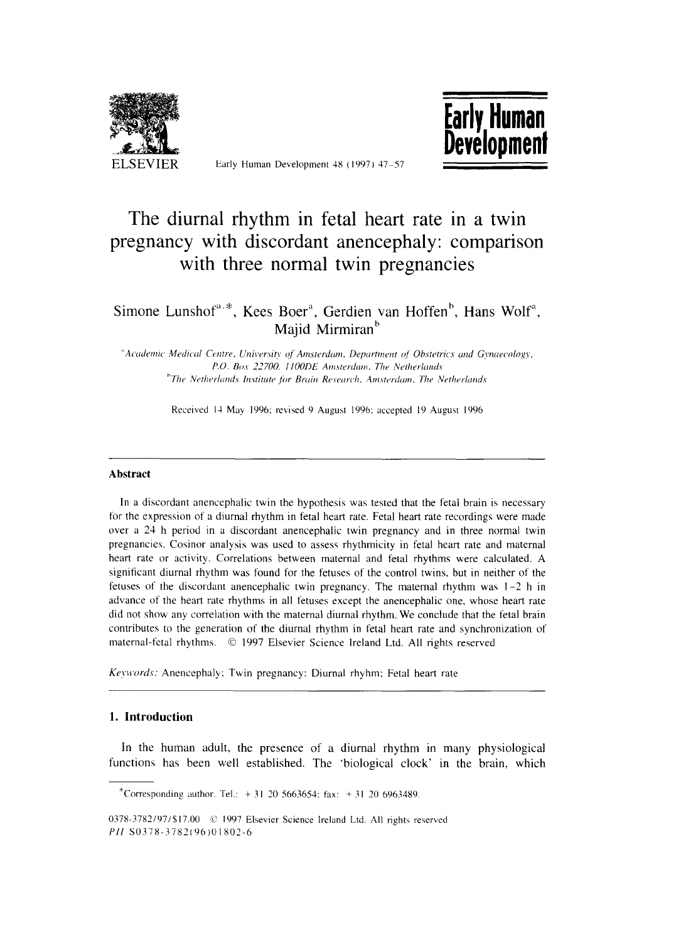

Early Human Development 48 (1997) 47-57



# The diurnal rhythm in fetal heart rate in a twin pregnancy with discordant anencephaly: comparison with three normal twin pregnancies

### Simone Lunshof<sup>a, \*</sup>, Kees Boer<sup>a</sup>, Gerdien van Hoffen<sup>b</sup>, Hans Wolf<sup>a</sup>, Majid Mirmiran<sup>b</sup>

<sup>a</sup>Academic Medical Centre, University of Amsterdam, Department of Obstetrics and Gynaecology, P.O. Box 22700, 1100DE Amsterdam. The Netherlands <sup>h</sup>The Netherlands Institute for Brain Research, Amsterdam, The Netherlands

Received 14 May 1996; revised 9 August 1996; accepted 19 August 1996

#### **Abstract**

In a discordant anencephalic twin the hypothesis was tested that the fetal brain is necessary for the expression of a diurnal rhythm in fetal heart rate. Fetal heart rate recordings were made over a 24 h period in a discordant anencephalic twin pregnancy and in three normal twin pregnancies. Cosinor analysis was used to assess rhythmicity in fetal heart rate and maternal heart rate or activity. Correlations between maternal and fetal rhythms were calculated. A significant diurnal rhythm was found for the fetuses of the control twins, but in neither of the fetuses of the discordant anencephalic twin pregnancy. The maternal rhythm was  $1-2$  h in advance of the heart rate rhythms in all fetuses except the anencephalic one, whose heart rate did not show any correlation with the maternal diurnal rhythm. We conclude that the fetal brain contributes to the generation of the diurnal rhythm in fetal heart rate and synchronization of maternal-fetal rhythms. © 1997 Elsevier Science Ireland Ltd. All rights reserved

Keywords: Anencephaly; Twin pregnancy; Diurnal rhyhm; Fetal heart rate

#### 1. Introduction

In the human adult, the presence of a diurnal rhythm in many physiological functions has been well established. The 'biological clock' in the brain, which

\*Corresponding author. Tel.:  $+31$  20 5663654; fax:  $+31$  20 6963489.

0378-3782/97/\$17.00 © 1997 Elsevier Science Ireland Ltd. All rights reserved PII S0378-3782(96)01802-6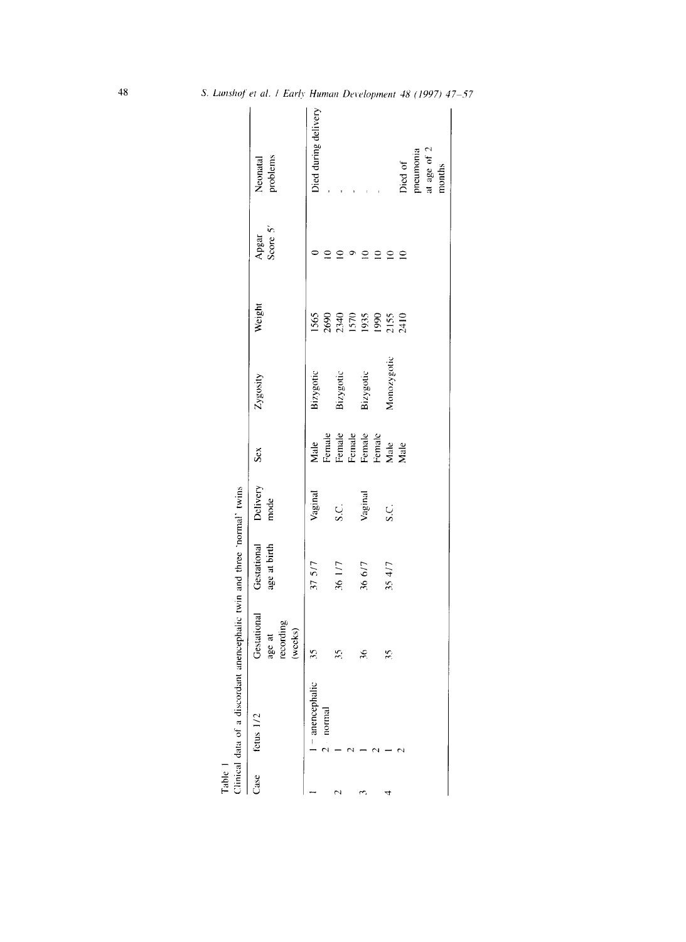| Table | linical data of a discordant anencephalic twin and three 'normal' twins |                                               |                             |                  |                                                        |             |                                        |                   |                                               |
|-------|-------------------------------------------------------------------------|-----------------------------------------------|-----------------------------|------------------|--------------------------------------------------------|-------------|----------------------------------------|-------------------|-----------------------------------------------|
| Case  | fetus 1/2                                                               | Gestational<br>recording<br>(weeks)<br>age at | Gestational<br>age at birth | Delivery<br>mode | $\tilde{s}$                                            | Zygosity    | Weight                                 | Apgar<br>Score 5' | problems<br>Neonatal                          |
|       | - anencephalic<br>normal                                                | 35                                            | 37 5/7                      | Vaginal          | Male                                                   | Bizygotic   | 1565                                   |                   | Died during delivery                          |
|       |                                                                         | 35                                            | 36 1/7                      | ن<br>م           | Female<br>Female<br>Female<br>Female<br>Hemale<br>Male | Bizygotic   | 2690<br>ESS 885<br>ESS 855<br>ESS 7410 | っ                 |                                               |
|       |                                                                         | $\mathfrak{H}$                                | 36 6/7                      | Vaginal          |                                                        | Bizygotic   |                                        | ≘                 |                                               |
|       |                                                                         | 35                                            | 35 4/7                      | S.C.             |                                                        | Monozygotic |                                        | ≘                 |                                               |
|       |                                                                         |                                               |                             |                  |                                                        |             |                                        | ≘                 | at age of 2<br>pneumonia<br>Died of<br>months |

 $\bf 48$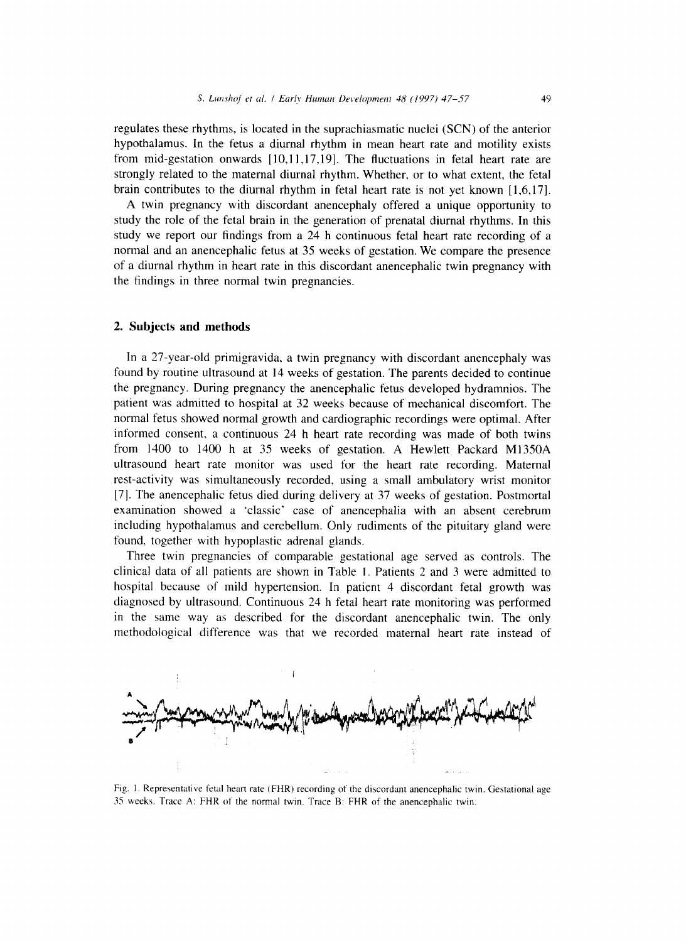regulates these rhythms, is located in the suprachiasmatic nuclei (SCN) of the anterior hypothalamus. In the fetus a diurnal rhythm in mean heart rate and motility exists from mid-gestation onwards [10,11,17,19]. The fluctuations in fetal heart rate are strongly related to the maternal diurnal rhythm. Whether, or to what extent, the fetal brain contributes to the diurnal rhythm in fetal heart rate is not yet known  $[1,6,17]$ .

A twin pregnancy with discordant anencephaly offered a unique opportunity to study the role of the fetal brain in the generation of prenatal diurnal rhythms. In this study we report our findings from a 24 h continuous fetal heart rate recording of a normal and an anencephalic fetus at 35 weeks of gestation. We compare the presence of a diurnal rhythm in heart rate in this discordant anencephalic twin pregnancy with the findings in three normal twin pregnancies.

### 2. Subjects and methods

In a 27-year-old primigravida, a twin pregnancy with discordant an encephaly was found by routine ultrasound at 14 weeks of gestation. The parents decided to continue the pregnancy. During pregnancy the anencephalic fetus developed hydramnios. The patient was admitted to hospital at 32 weeks because of mechanical discomfort. The normal fetus showed normal growth and cardiographic recordings were optimal. After informed consent, a continuous 24 h heart rate recording was made of both twins from 1400 to 1400 h at 35 weeks of gestation. A Hewlett Packard M1350A ultrasound heart rate monitor was used for the heart rate recording. Maternal rest-activity was simultaneously recorded, using a small ambulatory wrist monitor [7]. The anencephalic fetus died during delivery at 37 weeks of gestation. Postmortal examination showed a 'classic' case of anencephalia with an absent cerebrum including hypothalamus and cerebellum. Only rudiments of the pituitary gland were found, together with hypoplastic adrenal glands.

Three twin pregnancies of comparable gestational age served as controls. The clinical data of all patients are shown in Table 1. Patients 2 and 3 were admitted to hospital because of mild hypertension. In patient 4 discordant fetal growth was diagnosed by ultrasound. Continuous 24 h fetal heart rate monitoring was performed in the same way as described for the discordant anencephalic twin. The only methodological difference was that we recorded maternal heart rate instead of



Fig. 1. Representative fetal heart rate (FHR) recording of the discordant anencephalic twin. Gestational age 35 weeks. Trace A: FHR of the normal twin. Trace B: FHR of the anencephalic twin.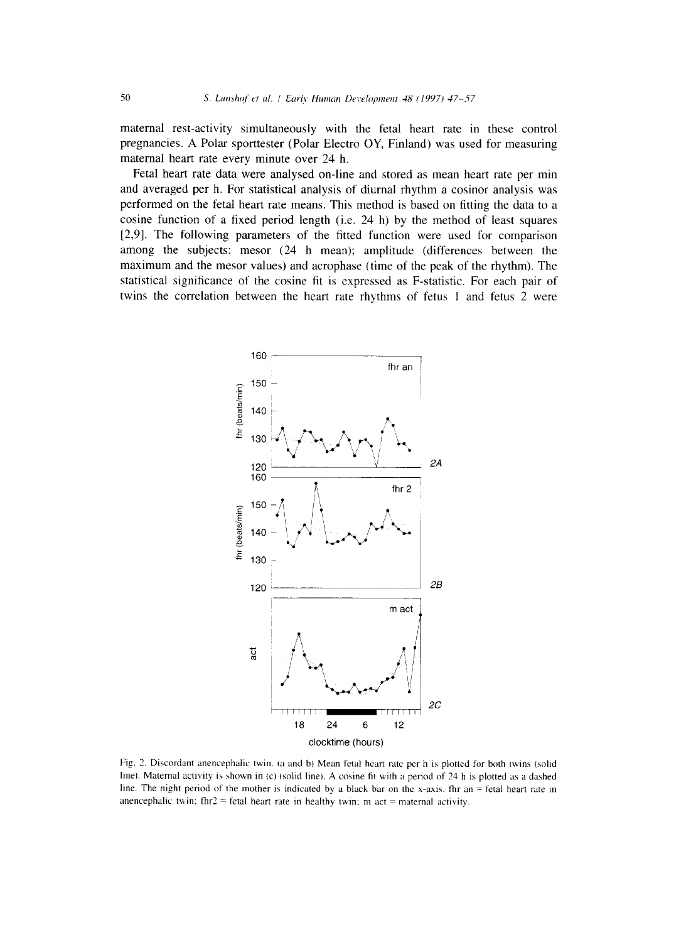maternal rest-activity simultaneously with the fetal heart rate in these control pregnancies. A Polar sporttester (Polar Electro OY, Finland) was used for measuring maternal heart rate every minute over 24 h.

Fetal heart rate data were analysed on-line and stored as mean heart rate per min and averaged per h. For statistical analysis of diurnal rhythm a cosinor analysis was performed on the fetal heart rate means. This method is based on fitting the data to a cosine function of a fixed period length (i.e. 24 h) by the method of least squares [2,9]. The following parameters of the fitted function were used for comparison among the subjects: mesor (24 h mean); amplitude (differences between the maximum and the mesor values) and acrophase (time of the peak of the rhythm). The statistical significance of the cosine fit is expressed as F-statistic. For each pair of twins the correlation between the heart rate rhythms of fetus 1 and fetus 2 were



Fig. 2. Discordant anencephalic twin. (a and b) Mean fetal heart rate per h is plotted for both twins (solid line). Maternal activity is shown in (c) (solid line). A cosine fit with a period of 24 h is plotted as a dashed line. The night period of the mother is indicated by a black bar on the x-axis. fhr an  $=$  fetal heart rate in anencephalic twin; fhr2 = fetal heart rate in healthy twin; m act = maternal activity.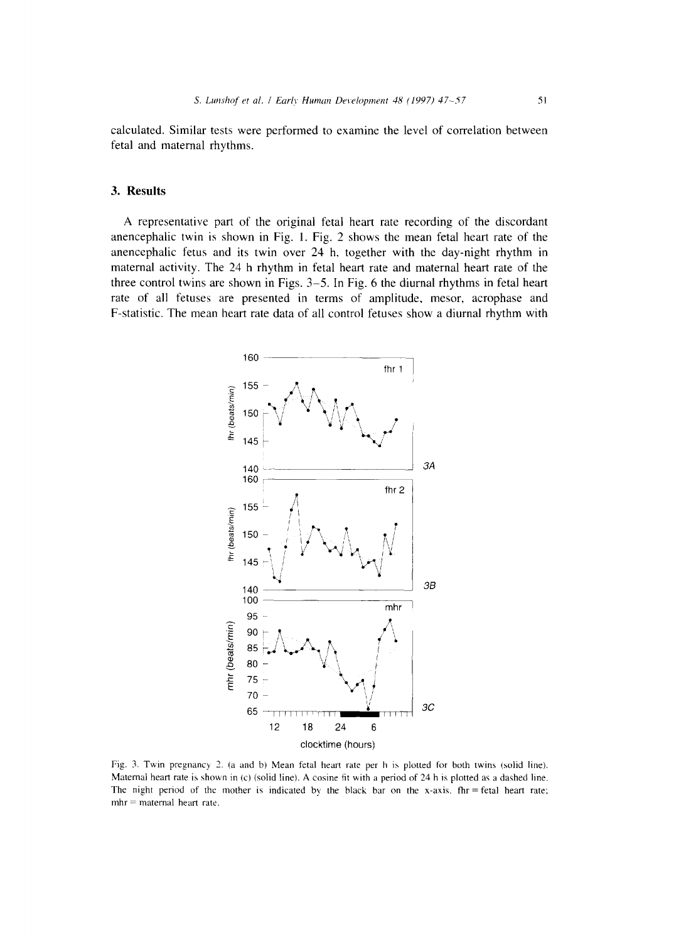calculated. Similar tests were performed to examine the level of correlation between fetal and maternal rhythms.

#### 3. Results

A representative part of the original fetal heart rate recording of the discordant anencephalic twin is shown in Fig. 1. Fig. 2 shows the mean fetal heart rate of the anencephalic fetus and its twin over 24 h, together with the day-night rhythm in maternal activity. The 24 h rhythm in fetal heart rate and maternal heart rate of the three control twins are shown in Figs.  $3-5$ . In Fig. 6 the diurnal rhythms in fetal heart rate of all fetuses are presented in terms of amplitude, mesor, acrophase and F-statistic. The mean heart rate data of all control fetuses show a diurnal rhythm with



Fig. 3. Twin pregnancy 2. (a and b) Mean fetal heart rate per h is plotted for both twins (solid line). Maternal heart rate is shown in (c) (solid line). A cosine fit with a period of 24 h is plotted as a dashed line. The night period of the mother is indicated by the black bar on the x-axis. fhr = fetal heart rate;  $mhr$  = maternal heart rate.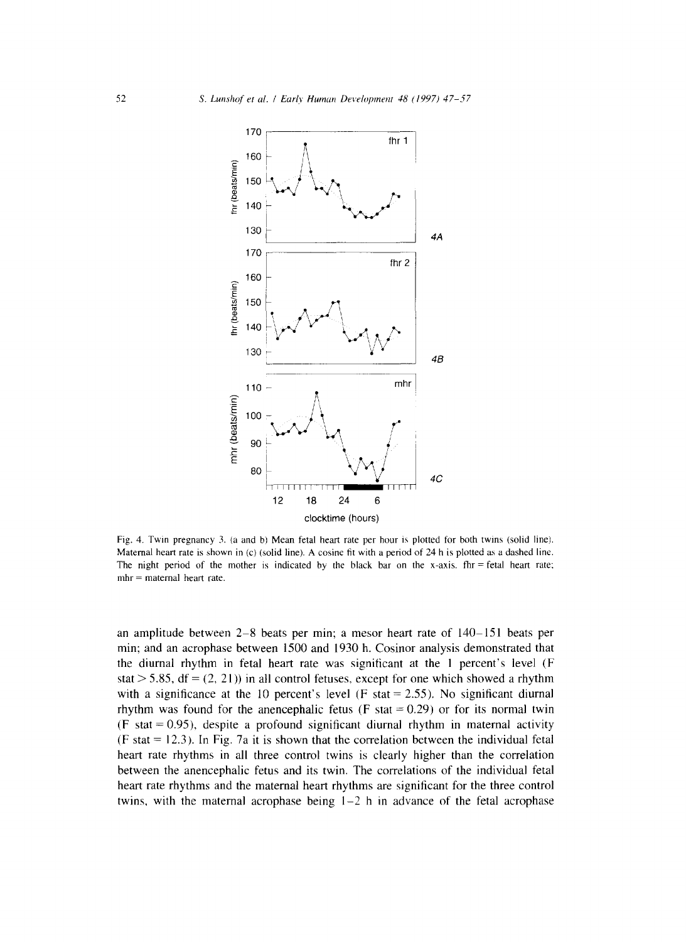

Fig. 4. Twin pregnancy 3. (a and b) Mean fetal heart rate per hour is plotted for both twins (solid line). Maternal heart rate is shown in (c) (solid line). A cosine fit with a period of 24 h is plotted as a dashed line. The night period of the mother is indicated by the black bar on the x-axis. fhr = fetal heart rate;  $mhr$  = maternal heart rate.

an amplitude between  $2-8$  beats per min; a mesor heart rate of  $140-151$  beats per min; and an acrophase between 1500 and 1930 h. Cosinor analysis demonstrated that the diurnal rhythm in fetal heart rate was significant at the 1 percent's level (F stat > 5.85, df =  $(2, 21)$ ) in all control fetuses, except for one which showed a rhythm with a significance at the 10 percent's level (F stat = 2.55). No significant diurnal rhythm was found for the anencephalic fetus (F stat =  $0.29$ ) or for its normal twin (F stat = 0.95), despite a profound significant diurnal rhythm in maternal activity  $(F$  stat = 12.3). In Fig. 7a it is shown that the correlation between the individual fetal heart rate rhythms in all three control twins is clearly higher than the correlation between the anencephalic fetus and its twin. The correlations of the individual fetal heart rate rhythms and the maternal heart rhythms are significant for the three control twins, with the maternal acrophase being  $1-2$  h in advance of the fetal acrophase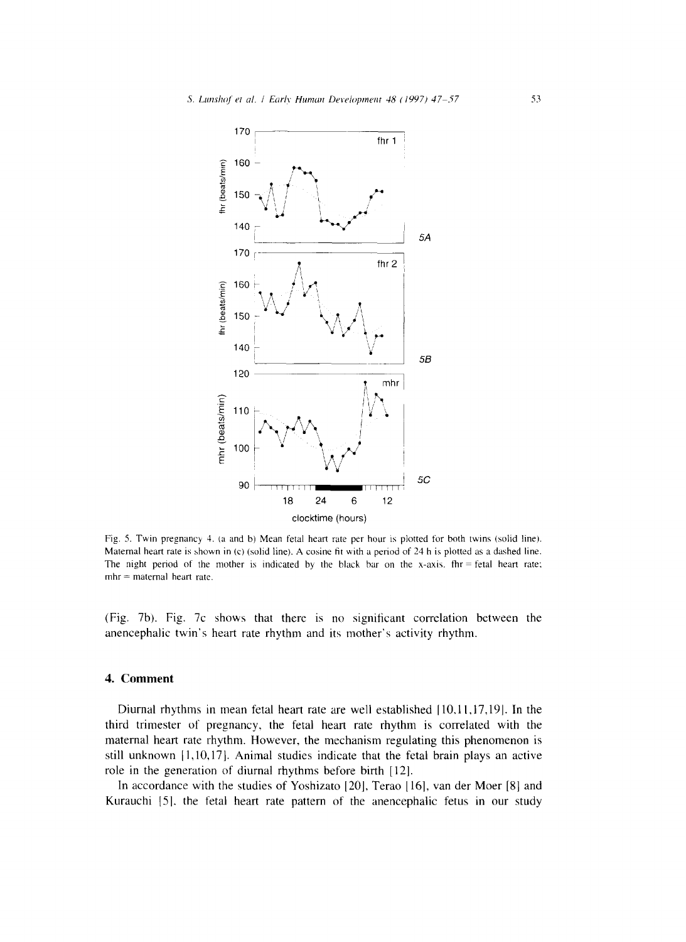

Fig. 5. Twin pregnancy 4. (a and b) Mean fetal heart rate per hour is plotted for both twins (solid line). Maternal heart rate is shown in (c) (solid line). A cosine fit with a period of 24 h is plotted as a dashed line. The night period of the mother is indicated by the black bar on the x-axis. fhr = fetal heart rate;  $mhr$  = maternal heart rate.

(Fig. 7b). Fig. 7c shows that there is no significant correlation between the anencephalic twin's heart rate rhythm and its mother's activity rhythm.

### 4. Comment

Diurnal rhythms in mean fetal heart rate are well established [10,11,17,19]. In the third trimester of pregnancy, the fetal heart rate rhythm is correlated with the maternal heart rate rhythm. However, the mechanism regulating this phenomenon is still unknown  $[1,10,17]$ . Animal studies indicate that the fetal brain plays an active role in the generation of diurnal rhythms before birth [12].

In accordance with the studies of Yoshizato [20], Terao [16], van der Moer [8] and Kurauchi [5], the fetal heart rate pattern of the anencephalic fetus in our study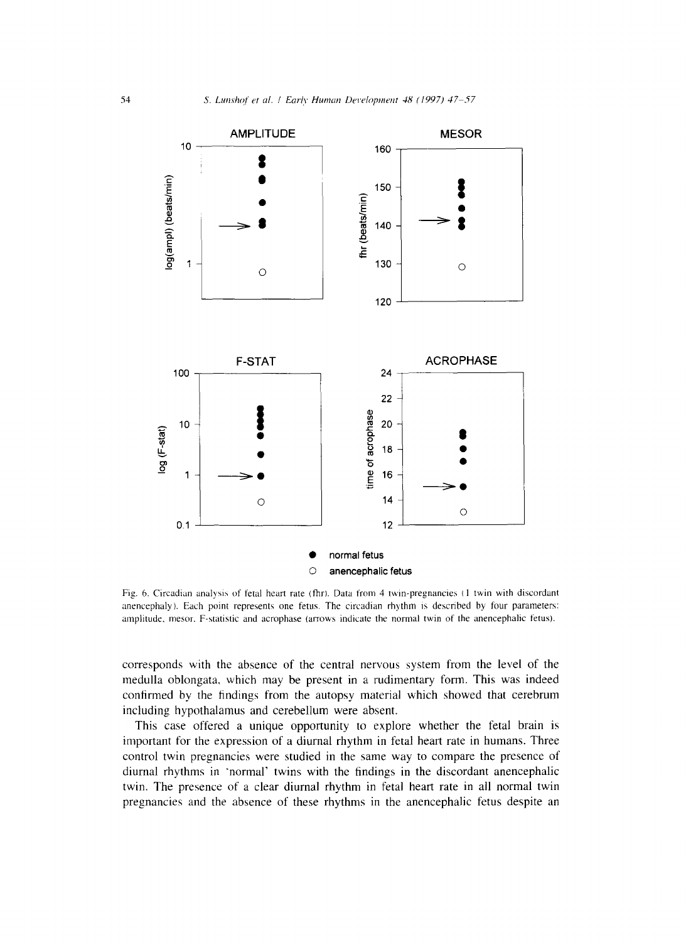

Fig. 6. Circadian analysis of fetal heart rate (fhr). Data from 4 twin-pregnancies (1 twin with discordant anencephaly). Each point represents one fetus. The circadian rhythm is described by four parameters: amplitude, mesor. F-statistic and acrophase (arrows indicate the normal twin of the anencephalic fetus).

corresponds with the absence of the central nervous system from the level of the medulla oblongata, which may be present in a rudimentary form. This was indeed confirmed by the findings from the autopsy material which showed that cerebrum including hypothalamus and cerebellum were absent.

This case offered a unique opportunity to explore whether the fetal brain is important for the expression of a diurnal rhythm in fetal heart rate in humans. Three control twin pregnancies were studied in the same way to compare the presence of diurnal rhythms in 'normal' twins with the findings in the discordant anencephalic twin. The presence of a clear diurnal rhythm in fetal heart rate in all normal twin pregnancies and the absence of these rhythms in the anencephalic fetus despite an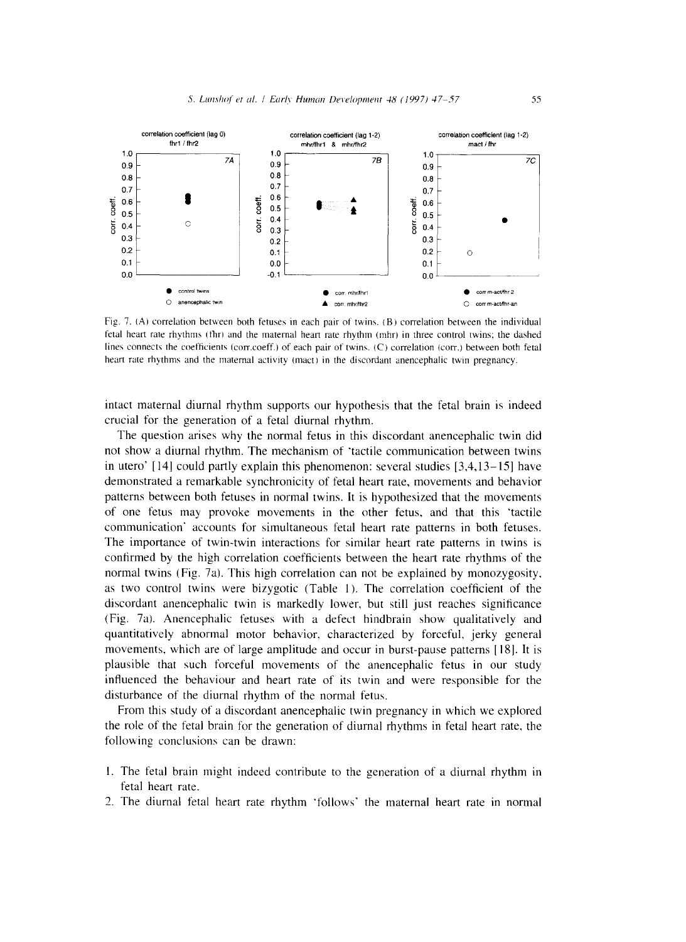

Fig. 7. (A) correlation between both fetuses in each pair of twins. (B) correlation between the individual fetal heart rate rhythms (fhr) and the maternal heart rate rhythm (mhr) in three control twins; the dashed lines connects the coefficients (corr.coeff.) of each pair of twins. (C) correlation (corr.) between both fetal heart rate rhythms and the maternal activity (mact) in the discordant anencephalic twin pregnancy.

intact maternal diurnal rhythm supports our hypothesis that the fetal brain is indeed crucial for the generation of a fetal diurnal rhythm.

The question arises why the normal fetus in this discordant anencephalic twin did not show a diurnal rhythm. The mechanism of 'tactile communication between twins in utero'  $[14]$  could partly explain this phenomenon: several studies  $[3,4,13-15]$  have demonstrated a remarkable synchronicity of fetal heart rate, movements and behavior patterns between both fetuses in normal twins. It is hypothesized that the movements of one fetus may provoke movements in the other fetus, and that this 'tactile communication accounts for simultaneous fetal heart rate patterns in both fetuses. The importance of twin-twin interactions for similar heart rate patterns in twins is confirmed by the high correlation coefficients between the heart rate rhythms of the normal twins (Fig. 7a). This high correlation can not be explained by monozygosity, as two control twins were bizygotic (Table 1). The correlation coefficient of the discordant anencephalic twin is markedly lower, but still just reaches significance (Fig. 7a). Anencephalic fetuses with a defect hindbrain show qualitatively and quantitatively abnormal motor behavior, characterized by forceful, jerky general movements, which are of large amplitude and occur in burst-pause patterns [18]. It is plausible that such forceful movements of the anencephalic fetus in our study influenced the behaviour and heart rate of its twin and were responsible for the disturbance of the diurnal rhythm of the normal fetus.

From this study of a discordant anencephalic twin pregnancy in which we explored the role of the fetal brain for the generation of diurnal rhythms in fetal heart rate, the following conclusions can be drawn:

- 1. The fetal brain might indeed contribute to the generation of a diurnal rhythm in fetal heart rate.
- 2. The diurnal fetal heart rate rhythm 'follows' the maternal heart rate in normal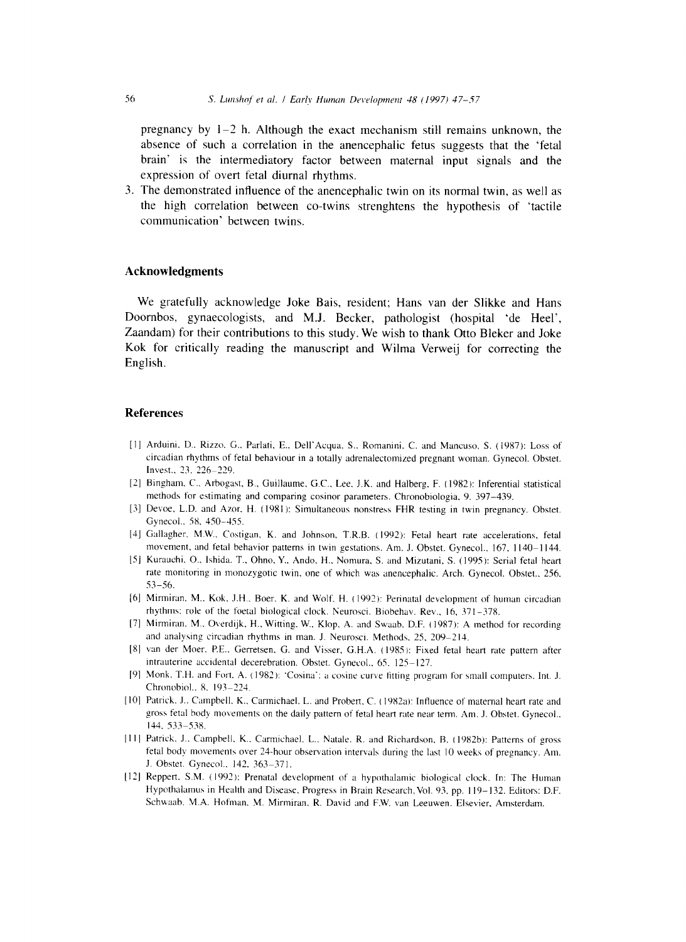pregnancy by  $1-2$  h. Although the exact mechanism still remains unknown, the absence of such a correlation in the anencephalic fetus suggests that the 'fetal brain' is the intermediatory factor between maternal input signals and the expression of overt fetal diurnal rhythms.

3. The demonstrated influence of the anencephalic twin on its normal twin, as well as the high correlation between co-twins strenghtens the hypothesis of 'tactile communication' between twins.

#### **Acknowledgments**

We gratefully acknowledge Joke Bais, resident; Hans van der Slikke and Hans Doornbos, gynaecologists, and M.J. Becker, pathologist (hospital 'de Heel', Zaandam) for their contributions to this study. We wish to thank Otto Bleker and Joke Kok for critically reading the manuscript and Wilma Verweij for correcting the English.

#### **References**

- [1] Arduini, D., Rizzo, G., Parlati, E., Dell'Acqua, S., Romanini, C. and Mancuso, S. (1987): Loss of circadian rhythms of fetal behaviour in a totally adrenalectomized pregnant woman. Gynecol. Obstet. Invest., 23, 226-229.
- [2] Bingham, C., Arbogast, B., Guillaume, G.C., Lee, J.K. and Halberg, F. (1982): Inferential statistical methods for estimating and comparing cosinor parameters. Chronobiologia, 9, 397-439.
- [3] Devoe, L.D. and Azor, H. (1981): Simultaneous nonstress FHR testing in twin pregnancy. Obstet. Gynecol., 58, 450-455.
- [4] Gallagher, M.W., Costigan, K. and Johnson, T.R.B. (1992): Fetal heart rate accelerations, fetal movement, and fetal behavior patterns in twin gestations. Am. J. Obstet. Gynecol., 167, 1140-1144.
- [5] Kurauchi, O., Ishida, T., Ohno, Y., Ando, H., Nomura, S. and Mizutani, S. (1995): Serial fetal heart rate monitoring in monozygotic twin, one of which was anencephalic. Arch. Gynecol. Obstet., 256,  $53 - 56$ .
- [6] Mirmiran, M., Kok, J.H., Boer, K. and Wolf, H. (1992): Perinatal development of human circadian rhythms: role of the foetal biological clock. Neurosci. Biobehav. Rev., 16, 371-378.
- [7] Mirmiran, M., Overdijk, H., Witting, W., Klop, A. and Swaab, D.F. (1987): A method for recording and analysing circadian rhythms in man. J. Neurosci. Methods, 25, 209-214.
- [8] van der Moer. P.E., Gerretsen, G. and Visser, G.H.A. (1985): Fixed fetal heart rate pattern after intrauterine accidental decerebration. Obstet. Gynecol., 65. 125-127.
- [9] Monk. T.H. and Fort, A. (1982): 'Cosina': a cosine curve fitting program for small computers. Int. J. Chronobiol., 8, 193-224.
- [10] Patrick, J., Campbell, K., Carmichael, L. and Probert, C. (1982a): Influence of maternal heart rate and gross fetal body movements on the daily pattern of fetal heart rate near term. Am. J. Obstet. Gynecol., 144.533-538.
- [11] Patrick, J., Campbell, K., Carmichael, L., Natale, R. and Richardson, B. (1982b): Patterns of gross fetal body movements over 24-hour observation intervals during the last 10 weeks of pregnancy. Am. J. Obstet. Gynecol., 142, 363-371.
- [12] Reppert. S.M. (1992): Prenatal development of a hypothalamic biological clock. In: The Human Hypothalamus in Health and Disease, Progress in Brain Research, Vol. 93, pp. 119-132. Editors: D.F. Schwaab, M.A. Hofman, M. Mirmiran, R. David and F.W. van Leeuwen. Elsevier, Amsterdam.